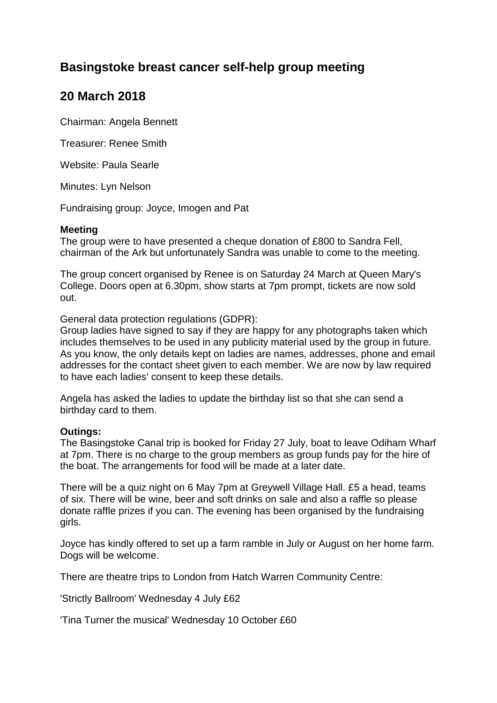## **Basingstoke breast cancer self-help group meeting**

## **20 March 2018**

Chairman: Angela Bennett

Treasurer: Renee Smith

Website: Paula Searle

Minutes: Lyn Nelson

Fundraising group: Joyce, Imogen and Pat

## **Meeting**

The group were to have presented a cheque donation of £800 to Sandra Fell, chairman of the Ark but unfortunately Sandra was unable to come to the meeting.

The group concert organised by Renee is on Saturday 24 March at Queen Mary's College. Doors open at 6.30pm, show starts at 7pm prompt, tickets are now sold out.

General data protection regulations (GDPR):

Group ladies have signed to say if they are happy for any photographs taken which includes themselves to be used in any publicity material used by the group in future. As you know, the only details kept on ladies are names, addresses, phone and email addresses for the contact sheet given to each member. We are now by law required to have each ladies' consent to keep these details.

Angela has asked the ladies to update the birthday list so that she can send a birthday card to them.

## **Outings:**

The Basingstoke Canal trip is booked for Friday 27 July, boat to leave Odiham Wharf at 7pm. There is no charge to the group members as group funds pay for the hire of the boat. The arrangements for food will be made at a later date.

There will be a quiz night on 6 May 7pm at Greywell Village Hall. £5 a head, teams of six. There will be wine, beer and soft drinks on sale and also a raffle so please donate raffle prizes if you can. The evening has been organised by the fundraising girls.

Joyce has kindly offered to set up a farm ramble in July or August on her home farm. Dogs will be welcome.

There are theatre trips to London from Hatch Warren Community Centre:

'Strictly Ballroom' Wednesday 4 July £62

'Tina Turner the musical' Wednesday 10 October £60